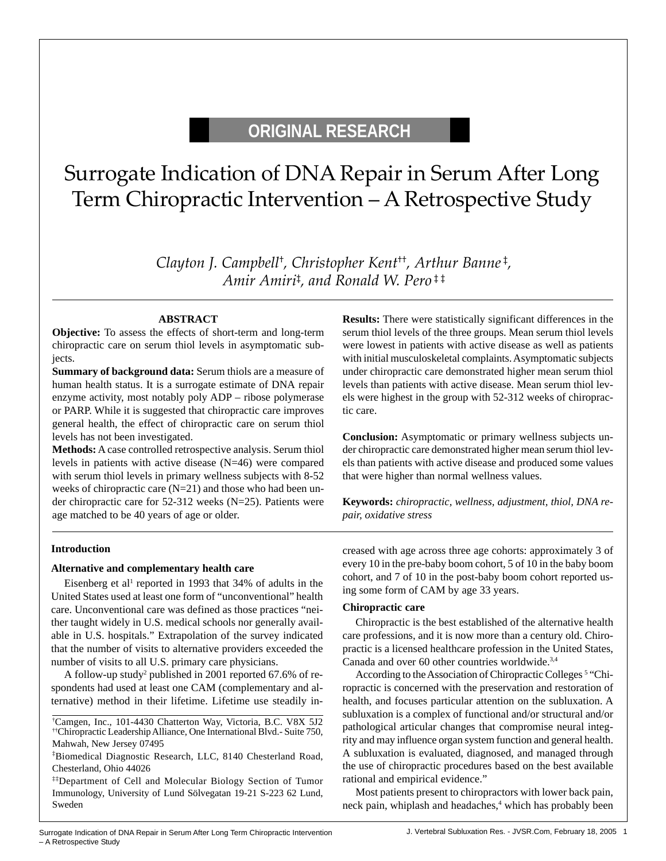# **ORIGINAL RESEARCH**

# Surrogate Indication of DNA Repair in Serum After Long Term Chiropractic Intervention – A Retrospective Study

*Clayton J. Campbell*† *, Christopher Kent*††*, Arthur Banne* ‡ *, Amir Amiri*‡ *, and Ronald W. Pero* ‡ ‡

## **ABSTRACT**

**Objective:** To assess the effects of short-term and long-term chiropractic care on serum thiol levels in asymptomatic subjects.

**Summary of background data:** Serum thiols are a measure of human health status. It is a surrogate estimate of DNA repair enzyme activity, most notably poly ADP – ribose polymerase or PARP. While it is suggested that chiropractic care improves general health, the effect of chiropractic care on serum thiol levels has not been investigated.

**Methods:** A case controlled retrospective analysis. Serum thiol levels in patients with active disease (N=46) were compared with serum thiol levels in primary wellness subjects with 8-52 weeks of chiropractic care (N=21) and those who had been under chiropractic care for 52-312 weeks (N=25). Patients were age matched to be 40 years of age or older.

**Results:** There were statistically significant differences in the serum thiol levels of the three groups. Mean serum thiol levels were lowest in patients with active disease as well as patients with initial musculoskeletal complaints. Asymptomatic subjects under chiropractic care demonstrated higher mean serum thiol levels than patients with active disease. Mean serum thiol levels were highest in the group with 52-312 weeks of chiropractic care.

**Conclusion:** Asymptomatic or primary wellness subjects under chiropractic care demonstrated higher mean serum thiol levels than patients with active disease and produced some values that were higher than normal wellness values.

**Keywords:** *chiropractic, wellness, adjustment, thiol, DNA repair, oxidative stress*

#### **Introduction**

### **Alternative and complementary health care**

Eisenberg et al<sup>1</sup> reported in 1993 that 34% of adults in the United States used at least one form of "unconventional" health care. Unconventional care was defined as those practices "neither taught widely in U.S. medical schools nor generally available in U.S. hospitals." Extrapolation of the survey indicated that the number of visits to alternative providers exceeded the number of visits to all U.S. primary care physicians.

A follow-up study<sup>2</sup> published in 2001 reported 67.6% of respondents had used at least one CAM (complementary and alternative) method in their lifetime. Lifetime use steadily in-

† Camgen, Inc., 101-4430 Chatterton Way, Victoria, B.C. V8X 5J2 ††Chiropractic Leadership Alliance, One International Blvd.- Suite 750, Mahwah, New Jersey 07495

‡‡Department of Cell and Molecular Biology Section of Tumor Immunology, University of Lund Sölvegatan 19-21 S-223 62 Lund, Sweden

creased with age across three age cohorts: approximately 3 of every 10 in the pre-baby boom cohort, 5 of 10 in the baby boom cohort, and 7 of 10 in the post-baby boom cohort reported using some form of CAM by age 33 years.

#### **Chiropractic care**

Chiropractic is the best established of the alternative health care professions, and it is now more than a century old. Chiropractic is a licensed healthcare profession in the United States, Canada and over 60 other countries worldwide.3,4

According to the Association of Chiropractic Colleges<sup>5</sup> "Chiropractic is concerned with the preservation and restoration of health, and focuses particular attention on the subluxation. A subluxation is a complex of functional and/or structural and/or pathological articular changes that compromise neural integrity and may influence organ system function and general health. A subluxation is evaluated, diagnosed, and managed through the use of chiropractic procedures based on the best available rational and empirical evidence."

Most patients present to chiropractors with lower back pain, neck pain, whiplash and headaches,<sup>4</sup> which has probably been

<sup>‡</sup> Biomedical Diagnostic Research, LLC, 8140 Chesterland Road, Chesterland, Ohio 44026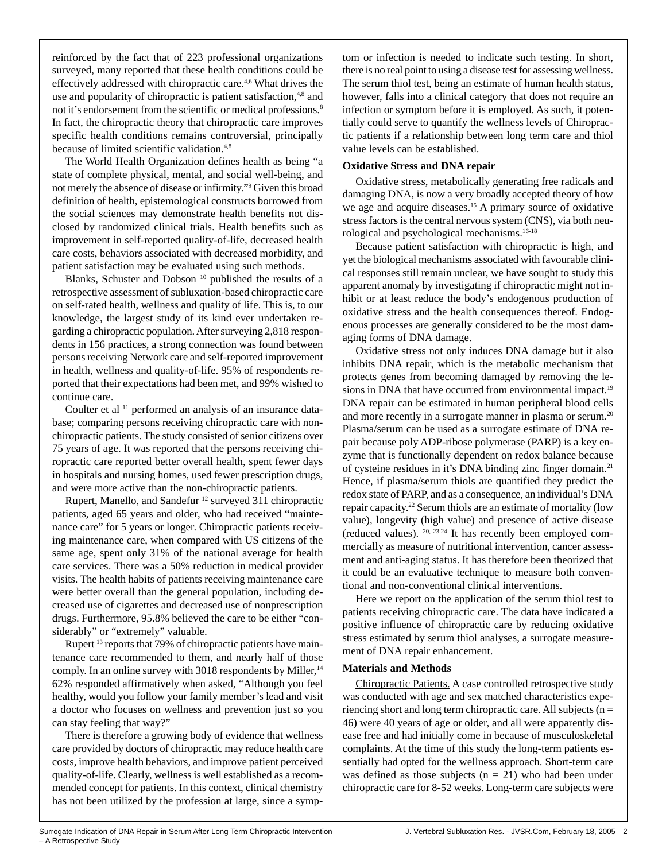reinforced by the fact that of 223 professional organizations surveyed, many reported that these health conditions could be effectively addressed with chiropractic care.<sup>4,6</sup> What drives the use and popularity of chiropractic is patient satisfaction,<sup>4,8</sup> and not it's endorsement from the scientific or medical professions.<sup>8</sup> In fact, the chiropractic theory that chiropractic care improves specific health conditions remains controversial, principally because of limited scientific validation.<sup>4,8</sup>

The World Health Organization defines health as being "a state of complete physical, mental, and social well-being, and not merely the absence of disease or infirmity."9 Given this broad definition of health, epistemological constructs borrowed from the social sciences may demonstrate health benefits not disclosed by randomized clinical trials. Health benefits such as improvement in self-reported quality-of-life, decreased health care costs, behaviors associated with decreased morbidity, and patient satisfaction may be evaluated using such methods.

Blanks, Schuster and Dobson 10 published the results of a retrospective assessment of subluxation-based chiropractic care on self-rated health, wellness and quality of life. This is, to our knowledge, the largest study of its kind ever undertaken regarding a chiropractic population. After surveying 2,818 respondents in 156 practices, a strong connection was found between persons receiving Network care and self-reported improvement in health, wellness and quality-of-life. 95% of respondents reported that their expectations had been met, and 99% wished to continue care.

Coulter et al <sup>11</sup> performed an analysis of an insurance database; comparing persons receiving chiropractic care with nonchiropractic patients. The study consisted of senior citizens over 75 years of age. It was reported that the persons receiving chiropractic care reported better overall health, spent fewer days in hospitals and nursing homes, used fewer prescription drugs, and were more active than the non-chiropractic patients.

Rupert, Manello, and Sandefur 12 surveyed 311 chiropractic patients, aged 65 years and older, who had received "maintenance care" for 5 years or longer. Chiropractic patients receiving maintenance care, when compared with US citizens of the same age, spent only 31% of the national average for health care services. There was a 50% reduction in medical provider visits. The health habits of patients receiving maintenance care were better overall than the general population, including decreased use of cigarettes and decreased use of nonprescription drugs. Furthermore, 95.8% believed the care to be either "considerably" or "extremely" valuable.

Rupert<sup>13</sup> reports that 79% of chiropractic patients have maintenance care recommended to them, and nearly half of those comply. In an online survey with  $3018$  respondents by Miller,  $^{14}$ 62% responded affirmatively when asked, "Although you feel healthy, would you follow your family member's lead and visit a doctor who focuses on wellness and prevention just so you can stay feeling that way?"

There is therefore a growing body of evidence that wellness care provided by doctors of chiropractic may reduce health care costs, improve health behaviors, and improve patient perceived quality-of-life. Clearly, wellness is well established as a recommended concept for patients. In this context, clinical chemistry has not been utilized by the profession at large, since a symptom or infection is needed to indicate such testing. In short, there is no real point to using a disease test for assessing wellness. The serum thiol test, being an estimate of human health status, however, falls into a clinical category that does not require an infection or symptom before it is employed. As such, it potentially could serve to quantify the wellness levels of Chiropractic patients if a relationship between long term care and thiol value levels can be established.

#### **Oxidative Stress and DNA repair**

Oxidative stress, metabolically generating free radicals and damaging DNA, is now a very broadly accepted theory of how we age and acquire diseases.<sup>15</sup> A primary source of oxidative stress factors is the central nervous system (CNS), via both neurological and psychological mechanisms.16-18

Because patient satisfaction with chiropractic is high, and yet the biological mechanisms associated with favourable clinical responses still remain unclear, we have sought to study this apparent anomaly by investigating if chiropractic might not inhibit or at least reduce the body's endogenous production of oxidative stress and the health consequences thereof. Endogenous processes are generally considered to be the most damaging forms of DNA damage.

Oxidative stress not only induces DNA damage but it also inhibits DNA repair, which is the metabolic mechanism that protects genes from becoming damaged by removing the lesions in DNA that have occurred from environmental impact.<sup>19</sup> DNA repair can be estimated in human peripheral blood cells and more recently in a surrogate manner in plasma or serum.<sup>20</sup> Plasma/serum can be used as a surrogate estimate of DNA repair because poly ADP-ribose polymerase (PARP) is a key enzyme that is functionally dependent on redox balance because of cysteine residues in it's DNA binding zinc finger domain.21 Hence, if plasma/serum thiols are quantified they predict the redox state of PARP, and as a consequence, an individual's DNA repair capacity.22 Serum thiols are an estimate of mortality (low value), longevity (high value) and presence of active disease (reduced values). 20, 23,24 It has recently been employed commercially as measure of nutritional intervention, cancer assessment and anti-aging status. It has therefore been theorized that it could be an evaluative technique to measure both conventional and non-conventional clinical interventions.

Here we report on the application of the serum thiol test to patients receiving chiropractic care. The data have indicated a positive influence of chiropractic care by reducing oxidative stress estimated by serum thiol analyses, a surrogate measurement of DNA repair enhancement.

#### **Materials and Methods**

Chiropractic Patients. A case controlled retrospective study was conducted with age and sex matched characteristics experiencing short and long term chiropractic care. All subjects (n = 46) were 40 years of age or older, and all were apparently disease free and had initially come in because of musculoskeletal complaints. At the time of this study the long-term patients essentially had opted for the wellness approach. Short-term care was defined as those subjects ( $n = 21$ ) who had been under chiropractic care for 8-52 weeks. Long-term care subjects were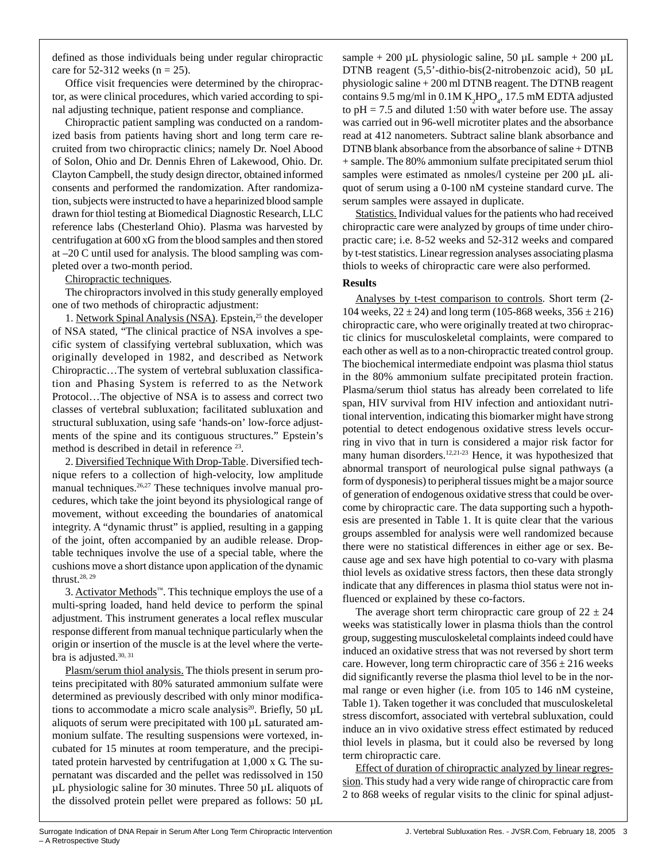defined as those individuals being under regular chiropractic care for 52-312 weeks ( $n = 25$ ).

Office visit frequencies were determined by the chiropractor, as were clinical procedures, which varied according to spinal adjusting technique, patient response and compliance.

Chiropractic patient sampling was conducted on a randomized basis from patients having short and long term care recruited from two chiropractic clinics; namely Dr. Noel Abood of Solon, Ohio and Dr. Dennis Ehren of Lakewood, Ohio. Dr. Clayton Campbell, the study design director, obtained informed consents and performed the randomization. After randomization, subjects were instructed to have a heparinized blood sample drawn for thiol testing at Biomedical Diagnostic Research, LLC reference labs (Chesterland Ohio). Plasma was harvested by centrifugation at 600 xG from the blood samples and then stored at –20 C until used for analysis. The blood sampling was completed over a two-month period.

Chiropractic techniques.

The chiropractors involved in this study generally employed one of two methods of chiropractic adjustment:

1. Network Spinal Analysis (NSA). Epstein,<sup>25</sup> the developer of NSA stated, "The clinical practice of NSA involves a specific system of classifying vertebral subluxation, which was originally developed in 1982, and described as Network Chiropractic…The system of vertebral subluxation classification and Phasing System is referred to as the Network Protocol…The objective of NSA is to assess and correct two classes of vertebral subluxation; facilitated subluxation and structural subluxation, using safe 'hands-on' low-force adjustments of the spine and its contiguous structures." Epstein's method is described in detail in reference <sup>23</sup>.

2. Diversified Technique With Drop-Table. Diversified technique refers to a collection of high-velocity, low amplitude manual techniques.<sup>26,27</sup> These techniques involve manual procedures, which take the joint beyond its physiological range of movement, without exceeding the boundaries of anatomical integrity. A "dynamic thrust" is applied, resulting in a gapping of the joint, often accompanied by an audible release. Droptable techniques involve the use of a special table, where the cushions move a short distance upon application of the dynamic thrust. $28, 29$ 

3. Activator Methods™. This technique employs the use of a multi-spring loaded, hand held device to perform the spinal adjustment. This instrument generates a local reflex muscular response different from manual technique particularly when the origin or insertion of the muscle is at the level where the vertebra is adjusted.<sup>30, 31</sup>

Plasm/serum thiol analysis. The thiols present in serum proteins precipitated with 80% saturated ammonium sulfate were determined as previously described with only minor modifications to accommodate a micro scale analysis<sup>20</sup>. Briefly, 50  $\mu$ L aliquots of serum were precipitated with 100 µL saturated ammonium sulfate. The resulting suspensions were vortexed, incubated for 15 minutes at room temperature, and the precipitated protein harvested by centrifugation at 1,000 x G. The supernatant was discarded and the pellet was redissolved in 150 µL physiologic saline for 30 minutes. Three 50 µL aliquots of the dissolved protein pellet were prepared as follows: 50 µL sample + 200 µL physiologic saline, 50 µL sample + 200 µL DTNB reagent (5,5'-dithio-bis(2-nitrobenzoic acid), 50 µL physiologic saline + 200 ml DTNB reagent. The DTNB reagent contains  $9.5 \text{ mg/ml in } 0.1 \text{M K} _2 \text{HPO}_4$ , 17.5 mM EDTA adjusted to  $pH = 7.5$  and diluted 1:50 with water before use. The assay was carried out in 96-well microtiter plates and the absorbance read at 412 nanometers. Subtract saline blank absorbance and DTNB blank absorbance from the absorbance of saline + DTNB + sample. The 80% ammonium sulfate precipitated serum thiol samples were estimated as nmoles/l cysteine per 200 µL aliquot of serum using a 0-100 nM cysteine standard curve. The serum samples were assayed in duplicate.

Statistics. Individual values for the patients who had received chiropractic care were analyzed by groups of time under chiropractic care; i.e. 8-52 weeks and 52-312 weeks and compared by t-test statistics. Linear regression analyses associating plasma thiols to weeks of chiropractic care were also performed.

# **Results**

Analyses by t-test comparison to controls. Short term (2- 104 weeks,  $22 \pm 24$ ) and long term (105-868 weeks,  $356 \pm 216$ ) chiropractic care, who were originally treated at two chiropractic clinics for musculoskeletal complaints, were compared to each other as well as to a non-chiropractic treated control group. The biochemical intermediate endpoint was plasma thiol status in the 80% ammonium sulfate precipitated protein fraction. Plasma/serum thiol status has already been correlated to life span, HIV survival from HIV infection and antioxidant nutritional intervention, indicating this biomarker might have strong potential to detect endogenous oxidative stress levels occurring in vivo that in turn is considered a major risk factor for many human disorders.<sup>12,21-23</sup> Hence, it was hypothesized that abnormal transport of neurological pulse signal pathways (a form of dysponesis) to peripheral tissues might be a major source of generation of endogenous oxidative stress that could be overcome by chiropractic care. The data supporting such a hypothesis are presented in Table 1. It is quite clear that the various groups assembled for analysis were well randomized because there were no statistical differences in either age or sex. Because age and sex have high potential to co-vary with plasma thiol levels as oxidative stress factors, then these data strongly indicate that any differences in plasma thiol status were not influenced or explained by these co-factors.

The average short term chiropractic care group of  $22 \pm 24$ weeks was statistically lower in plasma thiols than the control group, suggesting musculoskeletal complaints indeed could have induced an oxidative stress that was not reversed by short term care. However, long term chiropractic care of  $356 \pm 216$  weeks did significantly reverse the plasma thiol level to be in the normal range or even higher (i.e. from 105 to 146 nM cysteine, Table 1). Taken together it was concluded that musculoskeletal stress discomfort, associated with vertebral subluxation, could induce an in vivo oxidative stress effect estimated by reduced thiol levels in plasma, but it could also be reversed by long term chiropractic care.

Effect of duration of chiropractic analyzed by linear regression. This study had a very wide range of chiropractic care from 2 to 868 weeks of regular visits to the clinic for spinal adjust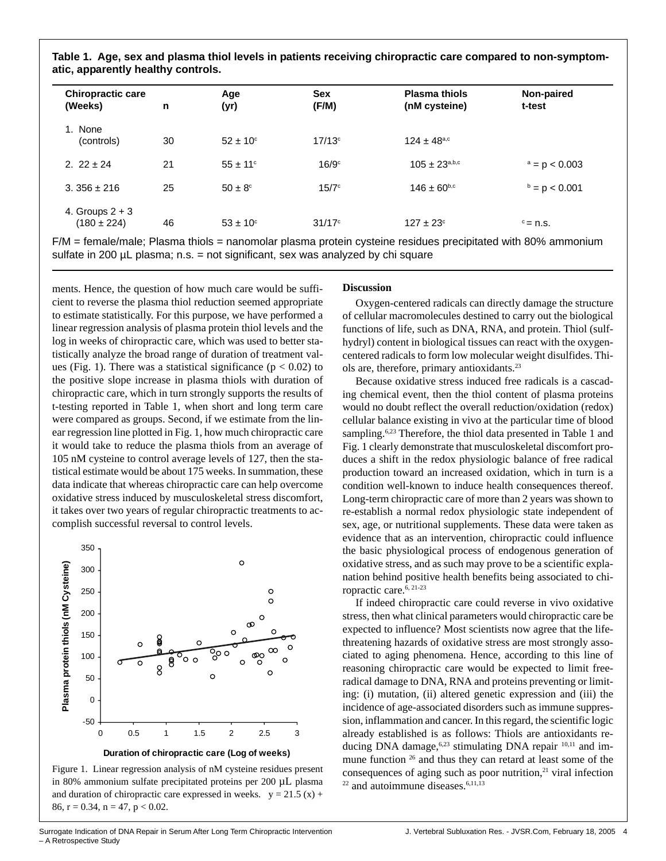**Table 1. Age, sex and plasma thiol levels in patients receiving chiropractic care compared to non-symptomatic, apparently healthy controls.**

| <b>Chiropractic care</b><br>(Weeks)  | n  | Age<br>(yr)         | <b>Sex</b><br>(F/M)  | <b>Plasma thiols</b><br>(nM cysteine) | Non-paired<br>t-test |  |
|--------------------------------------|----|---------------------|----------------------|---------------------------------------|----------------------|--|
| 1. None<br>(controls)                | 30 | $52 \pm 10^{\circ}$ | $17/13$ <sup>c</sup> | $124 \pm 48^{\text{a,c}}$             |                      |  |
| 2. $22 \pm 24$                       | 21 | $55 \pm 11^{\circ}$ | $16/9$ <sup>c</sup>  | $105 \pm 23^{a,b,c}$                  | $a = p < 0.003$      |  |
| $3.356 \pm 216$                      | 25 | $50 \pm 8^{\circ}$  | 15/7c                | $146 \pm 60^{6,c}$                    | $b = p < 0.001$      |  |
| 4. Groups $2 + 3$<br>$(180 \pm 224)$ | 46 | $53 \pm 10^{\circ}$ | $31/17^{\circ}$      | $127 \pm 23^{\circ}$                  | $\degree$ = n.s.     |  |

F/M = female/male; Plasma thiols = nanomolar plasma protein cysteine residues precipitated with 80% ammonium sulfate in 200  $\mu$ L plasma; n.s. = not significant, sex was analyzed by chi square

ments. Hence, the question of how much care would be sufficient to reverse the plasma thiol reduction seemed appropriate to estimate statistically. For this purpose, we have performed a linear regression analysis of plasma protein thiol levels and the log in weeks of chiropractic care, which was used to better statistically analyze the broad range of duration of treatment values (Fig. 1). There was a statistical significance ( $p < 0.02$ ) to the positive slope increase in plasma thiols with duration of chiropractic care, which in turn strongly supports the results of t-testing reported in Table 1, when short and long term care were compared as groups. Second, if we estimate from the linear regression line plotted in Fig. 1, how much chiropractic care it would take to reduce the plasma thiols from an average of 105 nM cysteine to control average levels of 127, then the statistical estimate would be about 175 weeks. In summation, these data indicate that whereas chiropractic care can help overcome oxidative stress induced by musculoskeletal stress discomfort, it takes over two years of regular chiropractic treatments to accomplish successful reversal to control levels.



Figure 1. Linear regression analysis of nM cysteine residues present in 80% ammonium sulfate precipitated proteins per 200 µL plasma and duration of chiropractic care expressed in weeks.  $y = 21.5 (x) +$ 86,  $r = 0.34$ ,  $n = 47$ ,  $p < 0.02$ .

# **Discussion**

Oxygen-centered radicals can directly damage the structure of cellular macromolecules destined to carry out the biological functions of life, such as DNA, RNA, and protein. Thiol (sulfhydryl) content in biological tissues can react with the oxygencentered radicals to form low molecular weight disulfides. Thiols are, therefore, primary antioxidants.23

Because oxidative stress induced free radicals is a cascading chemical event, then the thiol content of plasma proteins would no doubt reflect the overall reduction/oxidation (redox) cellular balance existing in vivo at the particular time of blood sampling.<sup>6,23</sup> Therefore, the thiol data presented in Table 1 and Fig. 1 clearly demonstrate that musculoskeletal discomfort produces a shift in the redox physiologic balance of free radical production toward an increased oxidation, which in turn is a condition well-known to induce health consequences thereof. Long-term chiropractic care of more than 2 years was shown to re-establish a normal redox physiologic state independent of sex, age, or nutritional supplements. These data were taken as evidence that as an intervention, chiropractic could influence the basic physiological process of endogenous generation of oxidative stress, and as such may prove to be a scientific explanation behind positive health benefits being associated to chiropractic care.6, 21-23

If indeed chiropractic care could reverse in vivo oxidative stress, then what clinical parameters would chiropractic care be expected to influence? Most scientists now agree that the lifethreatening hazards of oxidative stress are most strongly associated to aging phenomena. Hence, according to this line of reasoning chiropractic care would be expected to limit freeradical damage to DNA, RNA and proteins preventing or limiting: (i) mutation, (ii) altered genetic expression and (iii) the incidence of age-associated disorders such as immune suppression, inflammation and cancer. In this regard, the scientific logic already established is as follows: Thiols are antioxidants reducing DNA damage,<sup>6,23</sup> stimulating DNA repair <sup>10,11</sup> and immune function <sup>26</sup> and thus they can retard at least some of the consequences of aging such as poor nutrition,<sup>21</sup> viral infection  $22$  and autoimmune diseases.<sup>6,11,13</sup>